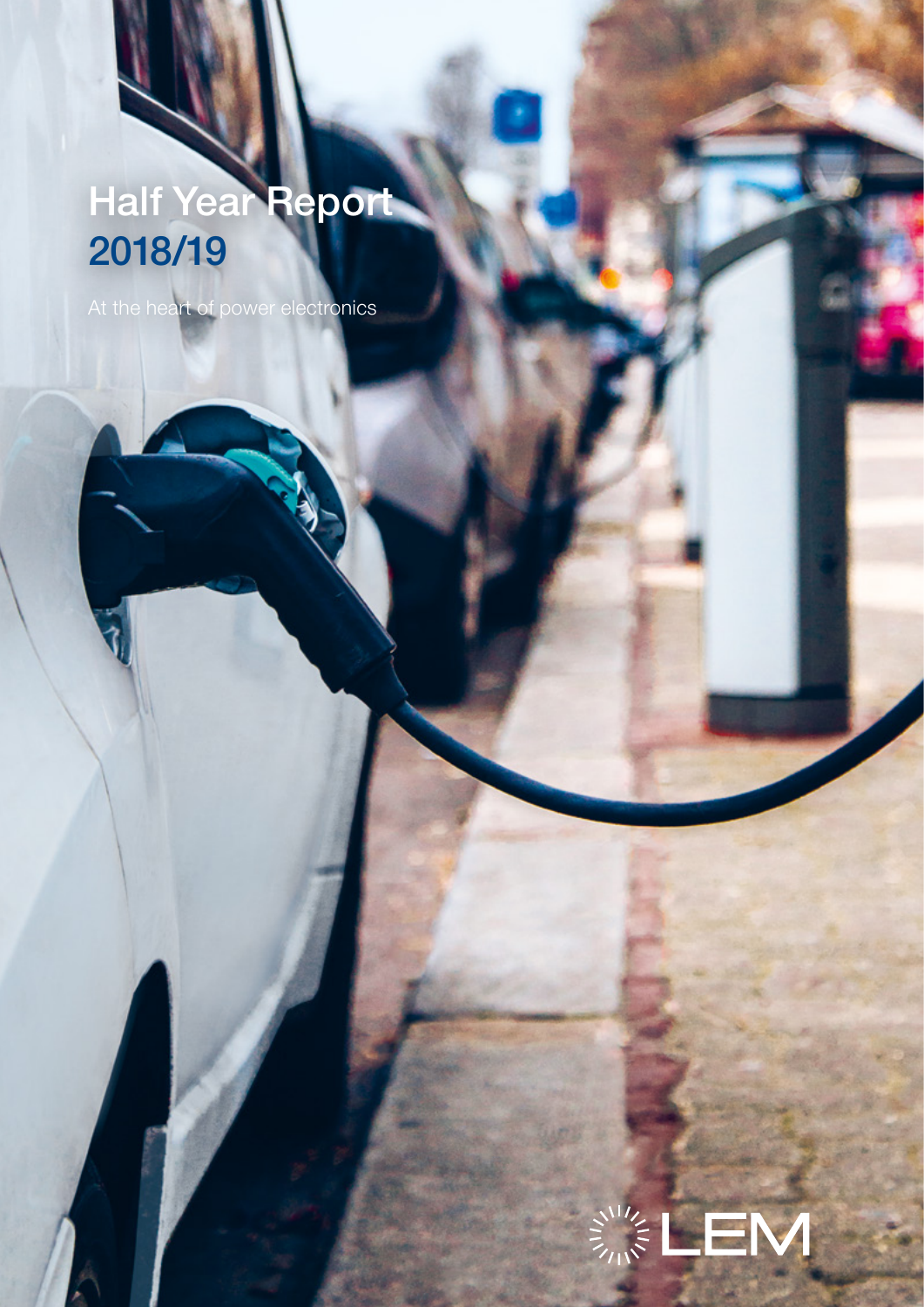# **Half Year Report** 2018/19

At the heart of power electronics

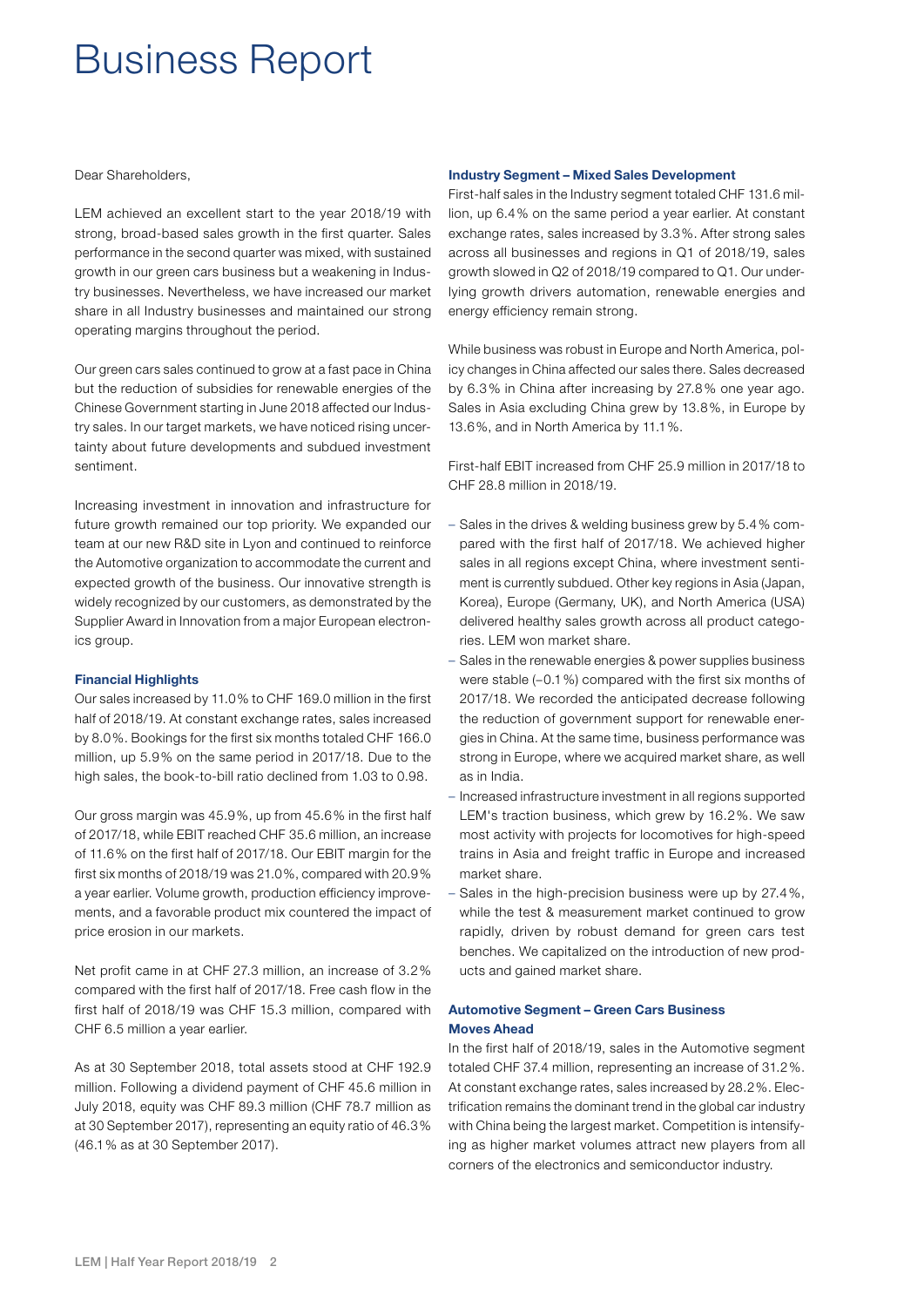### Business Report

Dear Shareholders,

LEM achieved an excellent start to the year 2018/19 with strong, broad-based sales growth in the first quarter. Sales performance in the second quarter was mixed, with sustained growth in our green cars business but a weakening in Industry businesses. Nevertheless, we have increased our market share in all Industry businesses and maintained our strong operating margins throughout the period.

Our green cars sales continued to grow at a fast pace in China but the reduction of subsidies for renewable energies of the Chinese Government starting in June 2018 affected our Industry sales. In our target markets, we have noticed rising uncertainty about future developments and subdued investment sentiment.

Increasing investment in innovation and infrastructure for future growth remained our top priority. We expanded our team at our new R&D site in Lyon and continued to reinforce the Automotive organization to accommodate the current and expected growth of the business. Our innovative strength is widely recognized by our customers, as demonstrated by the Supplier Award in Innovation from a major European electronics group.

#### Financial Highlights

Our sales increased by 11.0% to CHF 169.0 million in the first half of 2018/19. At constant exchange rates, sales increased by 8.0%. Bookings for the first six months totaled CHF 166.0 million, up 5.9% on the same period in 2017/18. Due to the high sales, the book-to-bill ratio declined from 1.03 to 0.98.

Our gross margin was 45.9%, up from 45.6% in the first half of 2017/18, while EBIT reached CHF 35.6 million, an increase of 11.6% on the first half of 2017/18. Our EBIT margin for the first six months of 2018/19 was 21.0%, compared with 20.9% a year earlier. Volume growth, production efficiency improvements, and a favorable product mix countered the impact of price erosion in our markets.

Net profit came in at CHF 27.3 million, an increase of 3.2% compared with the first half of 2017/18. Free cash flow in the first half of 2018/19 was CHF 15.3 million, compared with CHF 6.5 million a year earlier.

As at 30 September 2018, total assets stood at CHF 192.9 million. Following a dividend payment of CHF 45.6 million in July 2018, equity was CHF 89.3 million (CHF 78.7 million as at 30 September 2017), representing an equity ratio of 46.3% (46.1% as at 30 September 2017).

#### Industry Segment – Mixed Sales Development

First-half sales in the Industry segment totaled CHF 131.6 million, up 6.4% on the same period a year earlier. At constant exchange rates, sales increased by 3.3%. After strong sales across all businesses and regions in Q1 of 2018/19, sales growth slowed in Q2 of 2018/19 compared to Q1. Our underlying growth drivers automation, renewable energies and energy efficiency remain strong.

While business was robust in Europe and North America, policy changes in China affected our sales there. Sales decreased by 6.3% in China after increasing by 27.8% one year ago. Sales in Asia excluding China grew by 13.8%, in Europe by 13.6%, and in North America by 11.1%.

First-half EBIT increased from CHF 25.9 million in 2017/18 to CHF 28.8 million in 2018/19.

- Sales in the drives & welding business grew by 5.4% compared with the first half of 2017/18. We achieved higher sales in all regions except China, where investment sentiment is currently subdued. Other key regions in Asia (Japan, Korea), Europe (Germany, UK), and North America (USA) delivered healthy sales growth across all product categories. LEM won market share.
- Sales in the renewable energies & power supplies business were stable (–0.1%) compared with the first six months of 2017/18. We recorded the anticipated decrease following the reduction of government support for renewable energies in China. At the same time, business performance was strong in Europe, where we acquired market share, as well as in India.
- Increased infrastructure investment in all regions supported LEM's traction business, which grew by 16.2%. We saw most activity with projects for locomotives for high-speed trains in Asia and freight traffic in Europe and increased market share.
- Sales in the high-precision business were up by 27.4%, while the test & measurement market continued to grow rapidly, driven by robust demand for green cars test benches. We capitalized on the introduction of new products and gained market share.

#### Automotive Segment – Green Cars Business Moves Ahead

In the first half of 2018/19, sales in the Automotive segment totaled CHF 37.4 million, representing an increase of 31.2%. At constant exchange rates, sales increased by 28.2%. Electrification remains the dominant trend in the global car industry with China being the largest market. Competition is intensifying as higher market volumes attract new players from all corners of the electronics and semiconductor industry.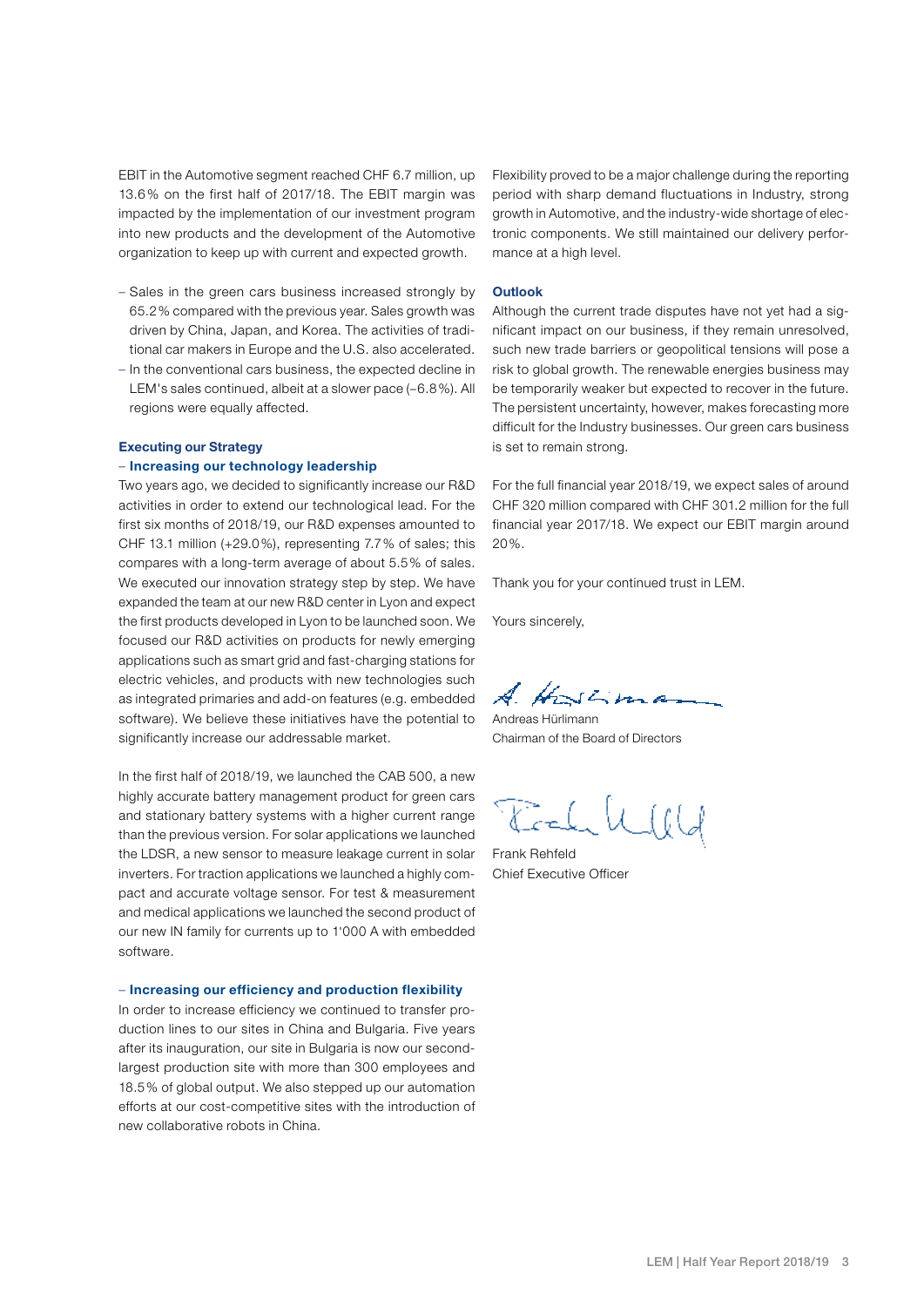EBIT in the Automotive segment reached CHF 6.7 million, up 13.6% on the first half of 2017/18. The EBIT margin was impacted by the implementation of our investment program into new products and the development of the Automotive organization to keep up with current and expected growth.

- Sales in the green cars business increased strongly by 65.2% compared with the previous year. Sales growth was driven by China, Japan, and Korea. The activities of traditional car makers in Europe and the U.S. also accelerated.
- In the conventional cars business, the expected decline in LEM's sales continued, albeit at a slower pace (–6.8%). All regions were equally affected.

#### Executing our Strategy

#### – Increasing our technology leadership

Two years ago, we decided to significantly increase our R&D activities in order to extend our technological lead. For the first six months of 2018/19, our R&D expenses amounted to CHF 13.1 million (+29.0%), representing 7.7% of sales; this compares with a long-term average of about 5.5% of sales. We executed our innovation strategy step by step. We have expanded the team at our new R&D center in Lyon and expect the first products developed in Lyon to be launched soon. We focused our R&D activities on products for newly emerging applications such as smart grid and fast-charging stations for electric vehicles, and products with new technologies such as integrated primaries and add-on features (e.g. embedded software). We believe these initiatives have the potential to significantly increase our addressable market.

In the first half of 2018/19, we launched the CAB 500, a new highly accurate battery management product for green cars and stationary battery systems with a higher current range than the previous version. For solar applications we launched the LDSR, a new sensor to measure leakage current in solar inverters. For traction applications we launched a highly compact and accurate voltage sensor. For test & measurement and medical applications we launched the second product of our new IN family for currents up to 1'000 A with embedded software.

#### – Increasing our efficiency and production flexibility

In order to increase efficiency we continued to transfer production lines to our sites in China and Bulgaria. Five years after its inauguration, our site in Bulgaria is now our secondlargest production site with more than 300 employees and 18.5% of global output. We also stepped up our automation efforts at our cost-competitive sites with the introduction of new collaborative robots in China.

Flexibility proved to be a major challenge during the reporting period with sharp demand fluctuations in Industry, strong growth in Automotive, and the industry-wide shortage of electronic components. We still maintained our delivery performance at a high level.

#### **Outlook**

Although the current trade disputes have not yet had a significant impact on our business, if they remain unresolved, such new trade barriers or geopolitical tensions will pose a risk to global growth. The renewable energies business may be temporarily weaker but expected to recover in the future. The persistent uncertainty, however, makes forecasting more difficult for the Industry businesses. Our green cars business is set to remain strong.

For the full financial year 2018/19, we expect sales of around CHF 320 million compared with CHF 301.2 million for the full financial year 2017/18. We expect our EBIT margin around 20%.

Thank you for your continued trust in LEM.

Yours sincerely,

A. Hostima

Andreas Hürlimann Chairman of the Board of Directors

Toch Will

Frank Rehfeld Chief Executive Officer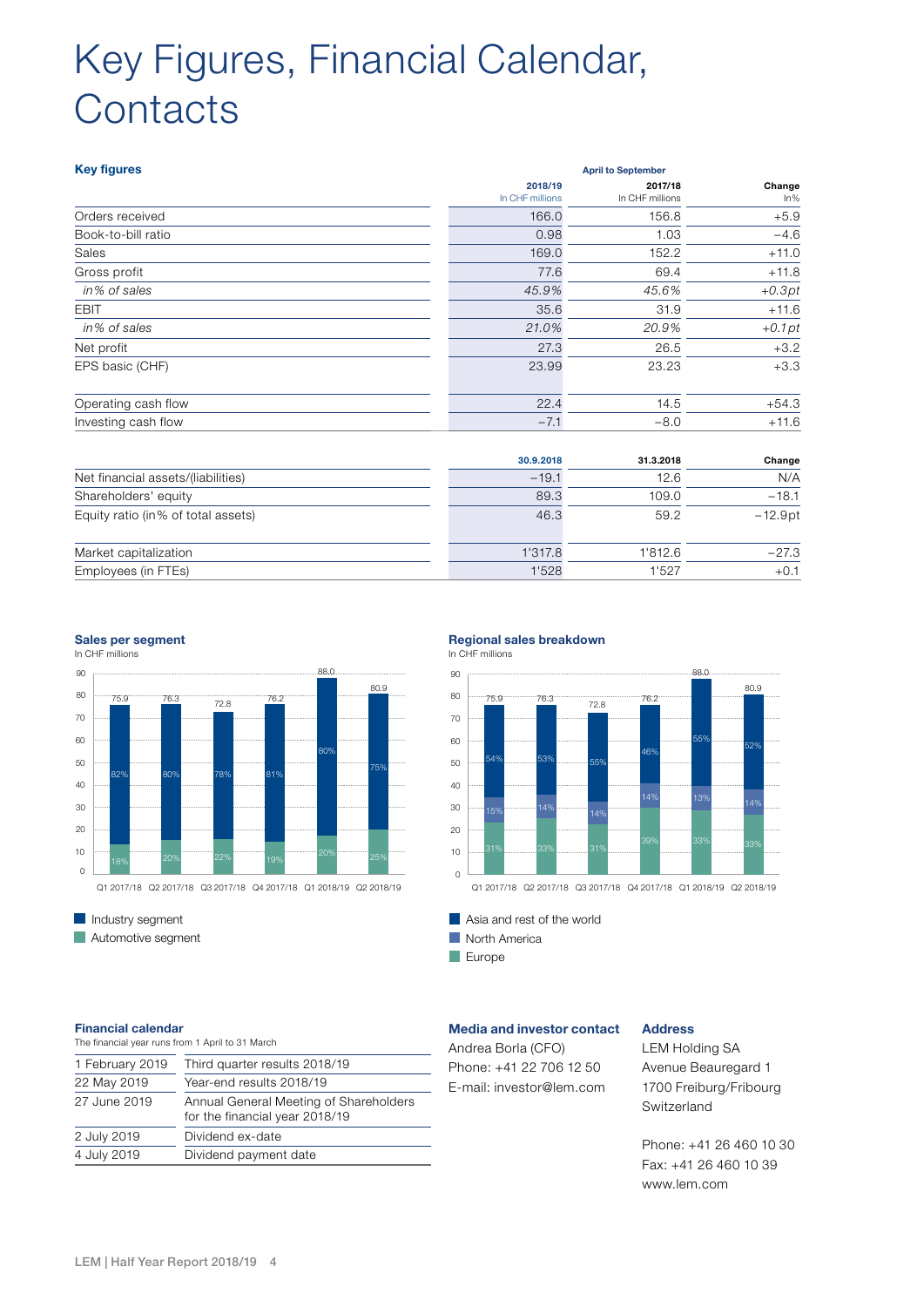# Key Figures, Financial Calendar, **Contacts**

| <b>Key figures</b>                 |                            | <b>April to September</b>  |                  |  |  |
|------------------------------------|----------------------------|----------------------------|------------------|--|--|
|                                    | 2018/19<br>In CHF millions | 2017/18<br>In CHF millions | Change<br>$ln\%$ |  |  |
| Orders received                    | 166.0                      | 156.8                      | $+5.9$           |  |  |
| Book-to-bill ratio                 | 0.98                       | 1.03                       | $-4.6$           |  |  |
| Sales                              | 169.0                      | 152.2                      | $+11.0$          |  |  |
| Gross profit                       | 77.6                       | 69.4                       | $+11.8$          |  |  |
| in% of sales                       | 45.9%                      | 45.6%                      | $+0.3pt$         |  |  |
| <b>EBIT</b>                        | 35.6                       | 31.9                       | $+11.6$          |  |  |
| in% of sales                       | 21.0%                      | 20.9%                      | $+0.1pt$         |  |  |
| Net profit                         | 27.3                       | 26.5                       | $+3.2$           |  |  |
| EPS basic (CHF)                    | 23.99                      | 23.23                      | $+3.3$           |  |  |
| Operating cash flow                | 22.4                       | 14.5                       | $+54.3$          |  |  |
| Investing cash flow                | $-7.1$                     | $-8.0$                     | $+11.6$          |  |  |
|                                    | 30.9.2018                  | 31.3.2018                  | Change           |  |  |
| Net financial assets/(liabilities) | $-19.1$                    | 12.6                       | N/A              |  |  |
| Shareholders' equity               | 89.3                       | 109.0                      | $-18.1$          |  |  |
| Equity ratio (in% of total assets) | 46.3                       | 59.2                       | $-12.9pt$        |  |  |
| Market capitalization              | 1'317.8                    | 1'812.6                    | $-27.3$          |  |  |
| Employees (in FTEs)                | 1'528                      | 1'527                      | $+0.1$           |  |  |



### In CHF millions

**Automotive segment** 

#### Sales per segment **EXEC millions In CHF millions In CHF millions In CHF millions In CHF millions In CHF millions In CHF millions In CHF millions In CHF millions In CHF millions In CHF millions In CHF millions In CHF millio** Regional sales breakdown



Asia and rest of the world Asia and rest of the world

North America North America

Europe Europe

### Financial calendar

| The financial year runs from 1 April to 31 March                         |
|--------------------------------------------------------------------------|
| Third quarter results 2018/19                                            |
| Year-end results 2018/19                                                 |
| Annual General Meeting of Shareholders<br>for the financial year 2018/19 |
| Dividend ex-date                                                         |
| Dividend payment date                                                    |
|                                                                          |

#### Media and investor contact

Andrea Borla (CFO) Phone: +41 22 706 12 50 E-mail: investor@lem.com

### Address

LEM Holding SA Avenue Beauregard 1 1700 Freiburg/Fribourg Switzerland

Phone: +41 26 460 10 30 Fax: +41 26 460 10 39 www.lem.com

**Industry segment**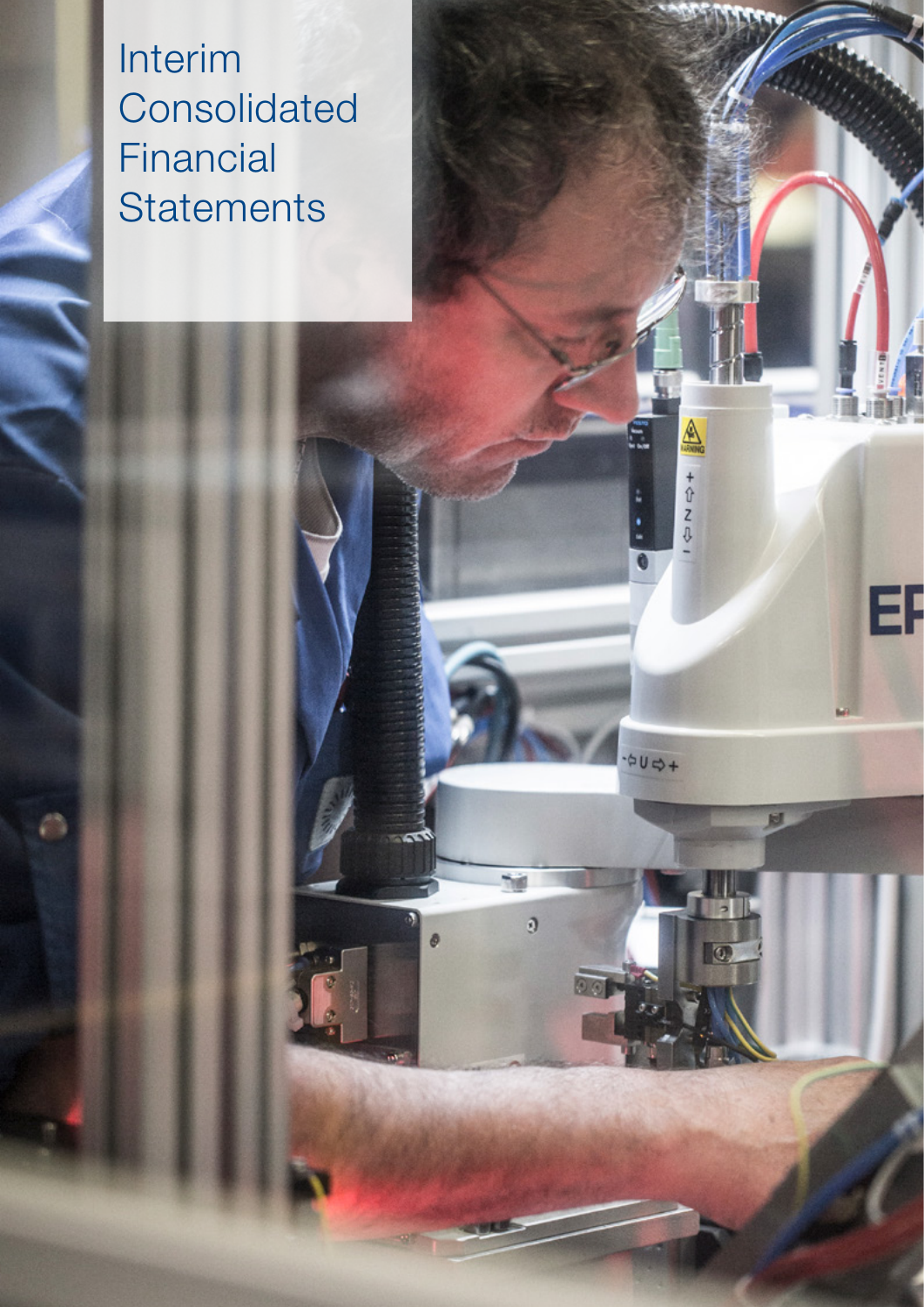Interim **Consolidated** Financial **Statements** 

Ш

EF

ter.

**AN** 

 $\begin{array}{c}\n+2 \\
+2\n\end{array}$ 

O

 $\frac{1}{2}U\frac{1}{2}$ 

 $\overline{0}$ 

**The** 

ø

0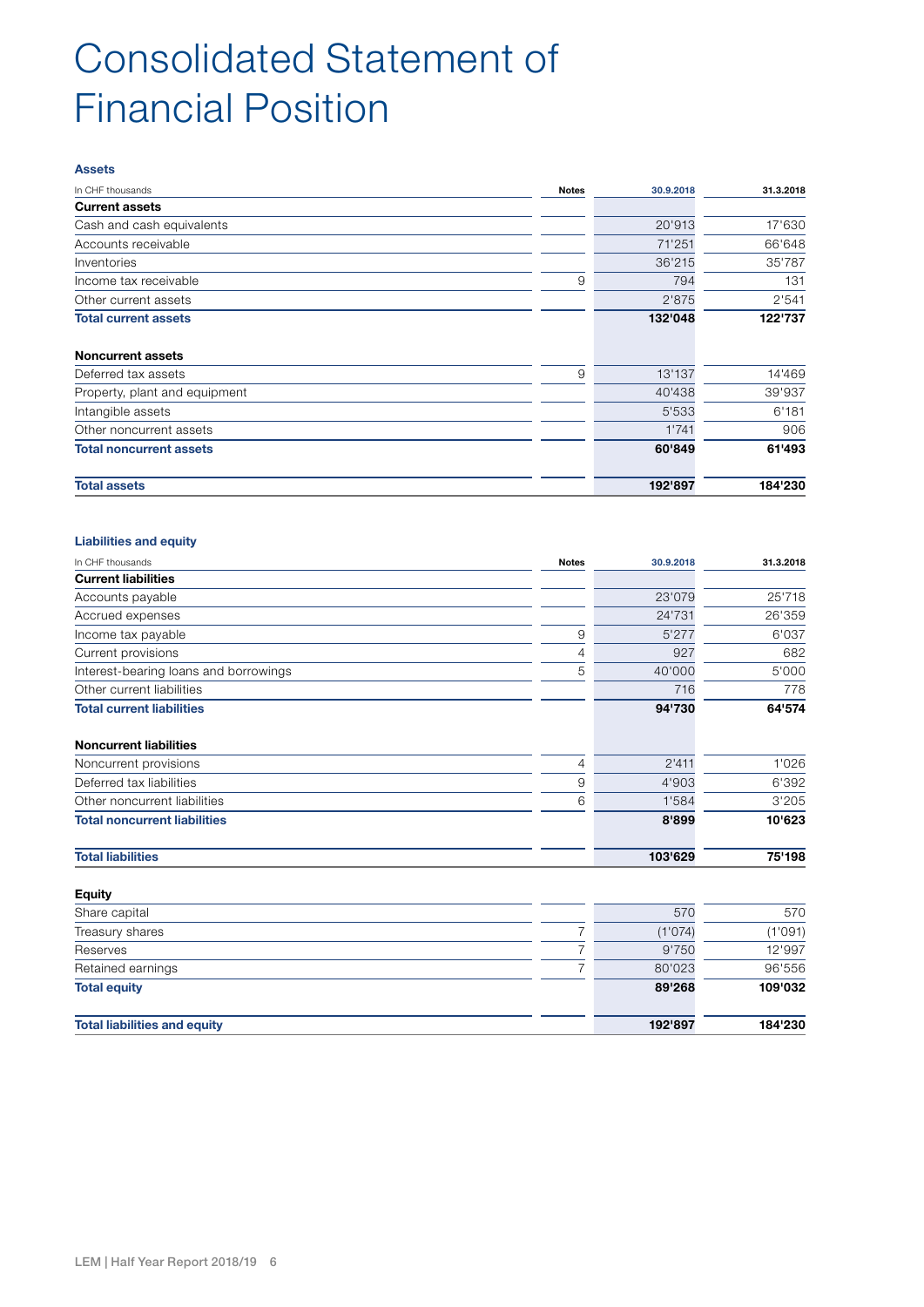### Consolidated Statement of Financial Position

#### Assets

| In CHF thousands               | Notes | 30.9.2018 | 31.3.2018 |
|--------------------------------|-------|-----------|-----------|
| <b>Current assets</b>          |       |           |           |
| Cash and cash equivalents      |       | 20'913    | 17'630    |
| Accounts receivable            |       | 71'251    | 66'648    |
| Inventories                    |       | 36'215    | 35'787    |
| Income tax receivable          | 9     | 794       | 131       |
| Other current assets           |       | 2'875     | 2'541     |
| <b>Total current assets</b>    |       | 132'048   | 122'737   |
| <b>Noncurrent assets</b>       |       |           |           |
| Deferred tax assets            | 9     | 13'137    | 14'469    |
| Property, plant and equipment  |       | 40'438    | 39'937    |
| Intangible assets              |       | 5'533     | 6'181     |
| Other noncurrent assets        |       | 1'741     | 906       |
| <b>Total noncurrent assets</b> |       | 60'849    | 61'493    |
| <b>Total assets</b>            |       | 192'897   | 184'230   |

#### Liabilities and equity

| In CHF thousands                      | <b>Notes</b>   | 30.9.2018 | 31.3.2018 |
|---------------------------------------|----------------|-----------|-----------|
| <b>Current liabilities</b>            |                |           |           |
| Accounts payable                      |                | 23'079    | 25'718    |
| Accrued expenses                      |                | 24'731    | 26'359    |
| Income tax payable                    | 9              | 5'277     | 6'037     |
| Current provisions                    | 4              | 927       | 682       |
| Interest-bearing loans and borrowings | 5              | 40'000    | 5'000     |
| Other current liabilities             |                | 716       | 778       |
| <b>Total current liabilities</b>      |                | 94'730    | 64'574    |
| <b>Noncurrent liabilities</b>         |                |           |           |
| Noncurrent provisions                 | $\overline{4}$ | 2'411     | 1'026     |
| Deferred tax liabilities              | 9              | 4'903     | 6'392     |
| Other noncurrent liabilities          | 6              | 1'584     | 3'205     |
| <b>Total noncurrent liabilities</b>   |                | 8'899     | 10'623    |
| <b>Total liabilities</b>              |                | 103'629   | 75'198    |
| <b>Equity</b>                         |                |           |           |
| Share capital                         |                | 570       | 570       |
| Treasury shares                       |                | (1'074)   | (1'091)   |
| Reserves                              |                | 9'750     | 12'997    |
| Retained earnings                     | 7              | 80'023    | 96'556    |

| netalited earlilitys                | OU UZJ  | ່ ສບ ວວບ |
|-------------------------------------|---------|----------|
| <b>Total equity</b>                 | 89'268  | 109'032  |
| <b>Total liabilities and equity</b> | 192'897 | 184'230  |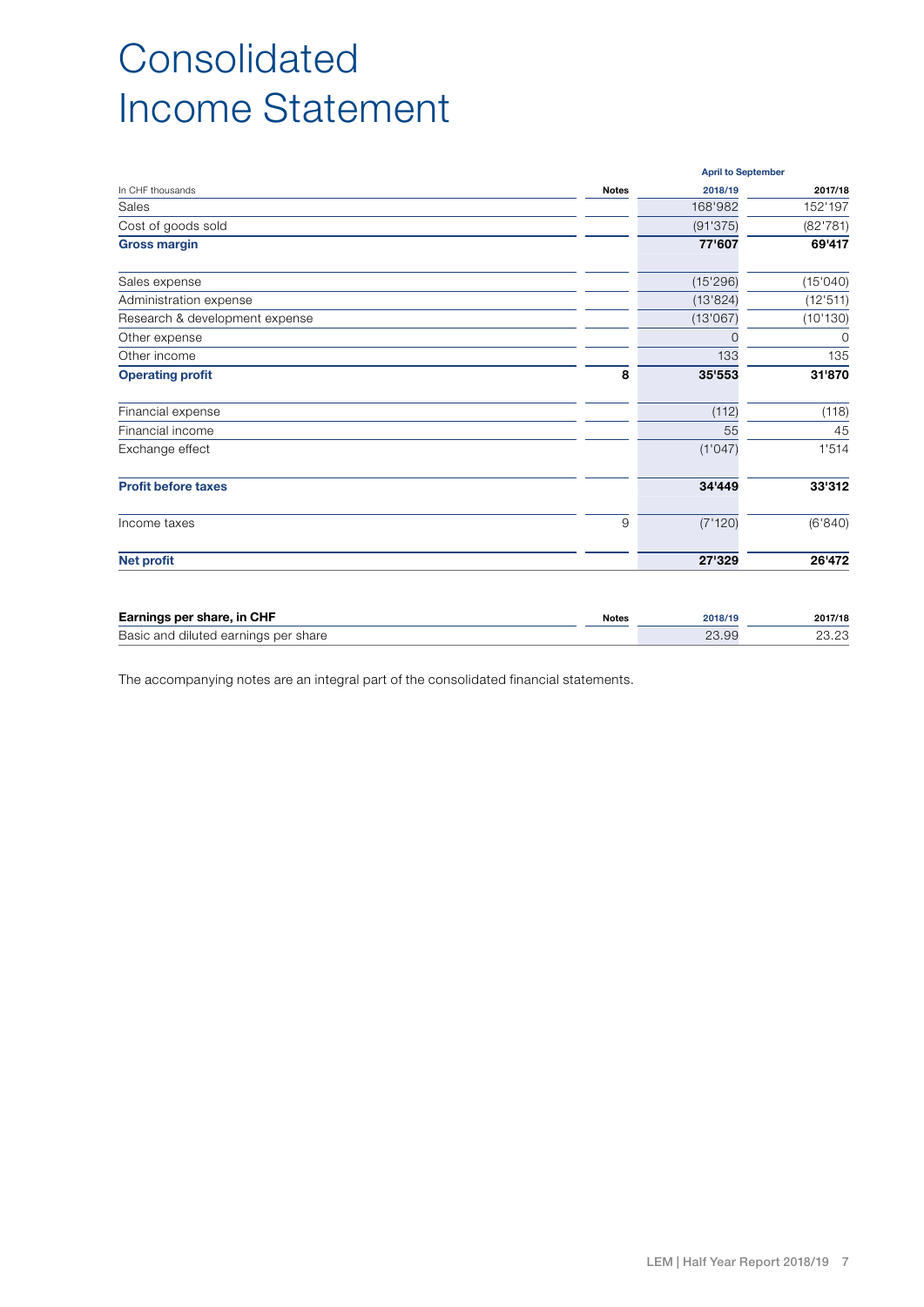## Consolidated Income Statement

|                                | <b>April to September</b> |          |          |  |
|--------------------------------|---------------------------|----------|----------|--|
| In CHF thousands               | <b>Notes</b>              | 2018/19  | 2017/18  |  |
| Sales                          |                           | 168'982  | 152'197  |  |
| Cost of goods sold             |                           | (91'375) | (82'781) |  |
| <b>Gross margin</b>            |                           | 77'607   | 69'417   |  |
| Sales expense                  |                           | (15'296) | (15'040) |  |
| Administration expense         |                           | (13'824) | (12'511) |  |
| Research & development expense |                           | (13'067) | (10'130) |  |
| Other expense                  |                           | 0        | 0        |  |
| Other income                   |                           | 133      | 135      |  |
| <b>Operating profit</b>        | 8                         | 35'553   | 31'870   |  |
| Financial expense              |                           | (112)    | (118)    |  |
| Financial income               |                           | 55       | 45       |  |
| Exchange effect                |                           | (1'047)  | 1'514    |  |
| <b>Profit before taxes</b>     |                           | 34'449   | 33'312   |  |
| Income taxes                   | 9                         | (7'120)  | (6'840)  |  |
| <b>Net profit</b>              |                           | 27'329   | 26'472   |  |

| Earnings per share, in CHF           | <b>Notes</b> | 2018/19 | 2017/18 |
|--------------------------------------|--------------|---------|---------|
| Basic and diluted earnings per share |              | 23.99   | 23.23   |

The accompanying notes are an integral part of the consolidated financial statements.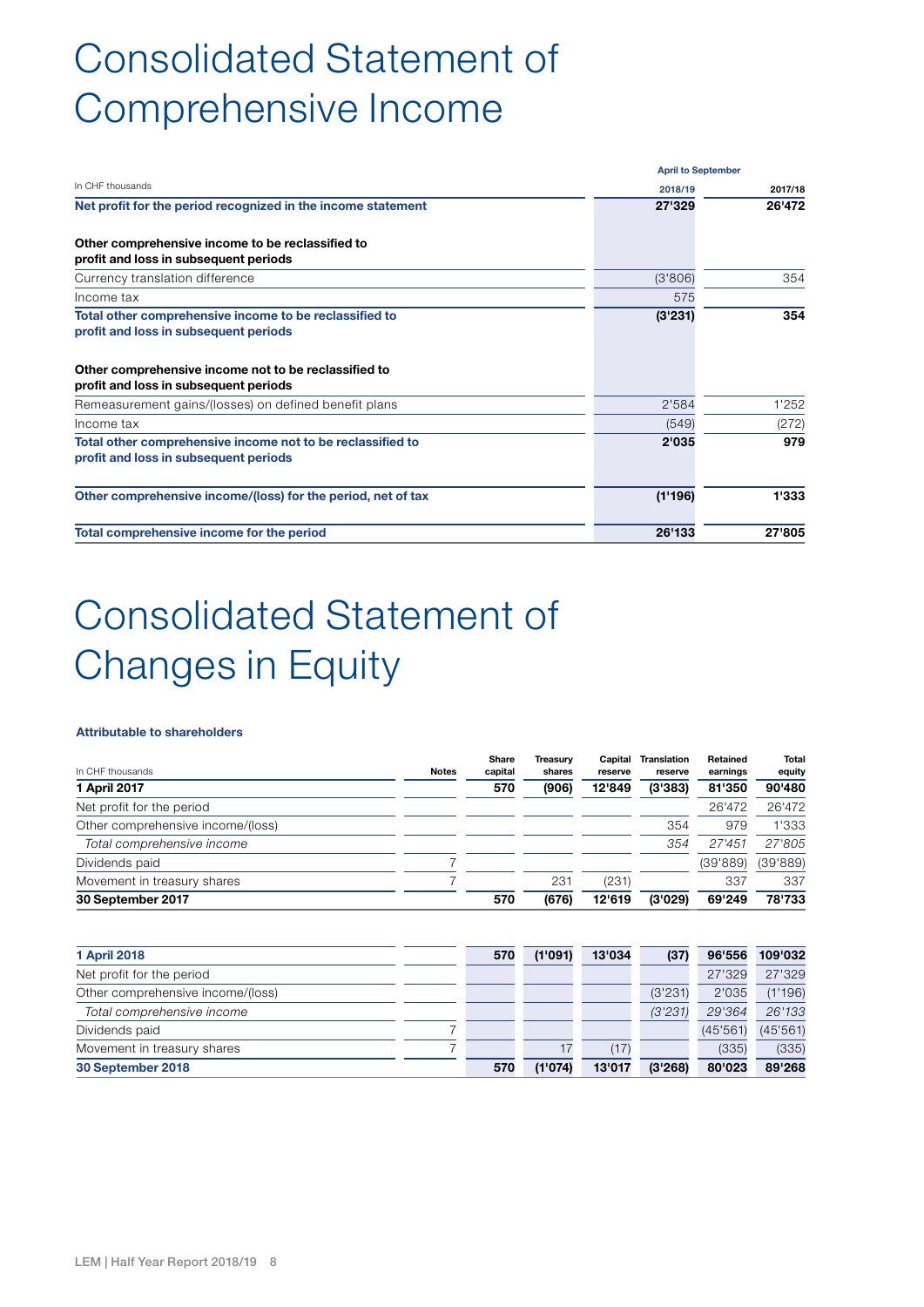## Consolidated Statement of Comprehensive Income

|                                                                                                                                                                                                  |         | <b>April to September</b> |  |  |
|--------------------------------------------------------------------------------------------------------------------------------------------------------------------------------------------------|---------|---------------------------|--|--|
| In CHF thousands                                                                                                                                                                                 | 2018/19 | 2017/18                   |  |  |
| Net profit for the period recognized in the income statement                                                                                                                                     | 27'329  | 26'472                    |  |  |
| Other comprehensive income to be reclassified to<br>profit and loss in subsequent periods                                                                                                        |         |                           |  |  |
| Currency translation difference                                                                                                                                                                  | (3'806) | 354                       |  |  |
| Income tax                                                                                                                                                                                       | 575     |                           |  |  |
| Total other comprehensive income to be reclassified to<br>profit and loss in subsequent periods<br>Other comprehensive income not to be reclassified to<br>profit and loss in subsequent periods | (3'231) | 354                       |  |  |
| Remeasurement gains/(losses) on defined benefit plans                                                                                                                                            | 2'584   | 1'252                     |  |  |
| Income tax                                                                                                                                                                                       | (549)   | (272)                     |  |  |
| Total other comprehensive income not to be reclassified to<br>profit and loss in subsequent periods                                                                                              | 2'035   | 979                       |  |  |
| Other comprehensive income/(loss) for the period, net of tax                                                                                                                                     | (1'196) | 1'333                     |  |  |
| Total comprehensive income for the period                                                                                                                                                        | 26'133  | 27'805                    |  |  |

## Consolidated Statement of Changes in Equity

#### Attributable to shareholders

| In CHF thousands                  | <b>Notes</b> | Share<br>capital | Treasurv<br>shares | Capital<br>reserve | <b>Translation</b><br>reserve | Retained<br>earnings | Total<br>equity |
|-----------------------------------|--------------|------------------|--------------------|--------------------|-------------------------------|----------------------|-----------------|
| 1 April 2017                      |              | 570              | (906)              | 12'849             | (3'383)                       | 81'350               | 90'480          |
| Net profit for the period         |              |                  |                    |                    |                               | 26'472               | 26'472          |
| Other comprehensive income/(loss) |              |                  |                    |                    | 354                           | 979                  | 1'333           |
| Total comprehensive income        |              |                  |                    |                    | 354                           | 27'451               | 27'805          |
| Dividends paid                    |              |                  |                    |                    |                               | (39'889)             | (39'889)        |
| Movement in treasury shares       |              |                  | 231                | (231)              |                               | 337                  | 337             |
| 30 September 2017                 |              | 570              | (676)              | 12'619             | (3'029)                       | 69'249               | 78'733          |

| <b>1 April 2018</b>               | 570 | (1'091) | 13'034 | (37)    | 96'556  | 109'032  |
|-----------------------------------|-----|---------|--------|---------|---------|----------|
| Net profit for the period         |     |         |        |         | 27'329  | 27'329   |
| Other comprehensive income/(loss) |     |         |        | (3'231) | 2'035   | (1'196)  |
| Total comprehensive income        |     |         |        | (3'231) | 29'364  | 26'133   |
| Dividends paid                    |     |         |        |         | (45'561 | (45'561) |
| Movement in treasury shares       |     | 17      | (17)   |         | (335)   | (335)    |
| 30 September 2018                 | 570 | (1'074) | 13'017 | (3'268) | 80'023  | 89'268   |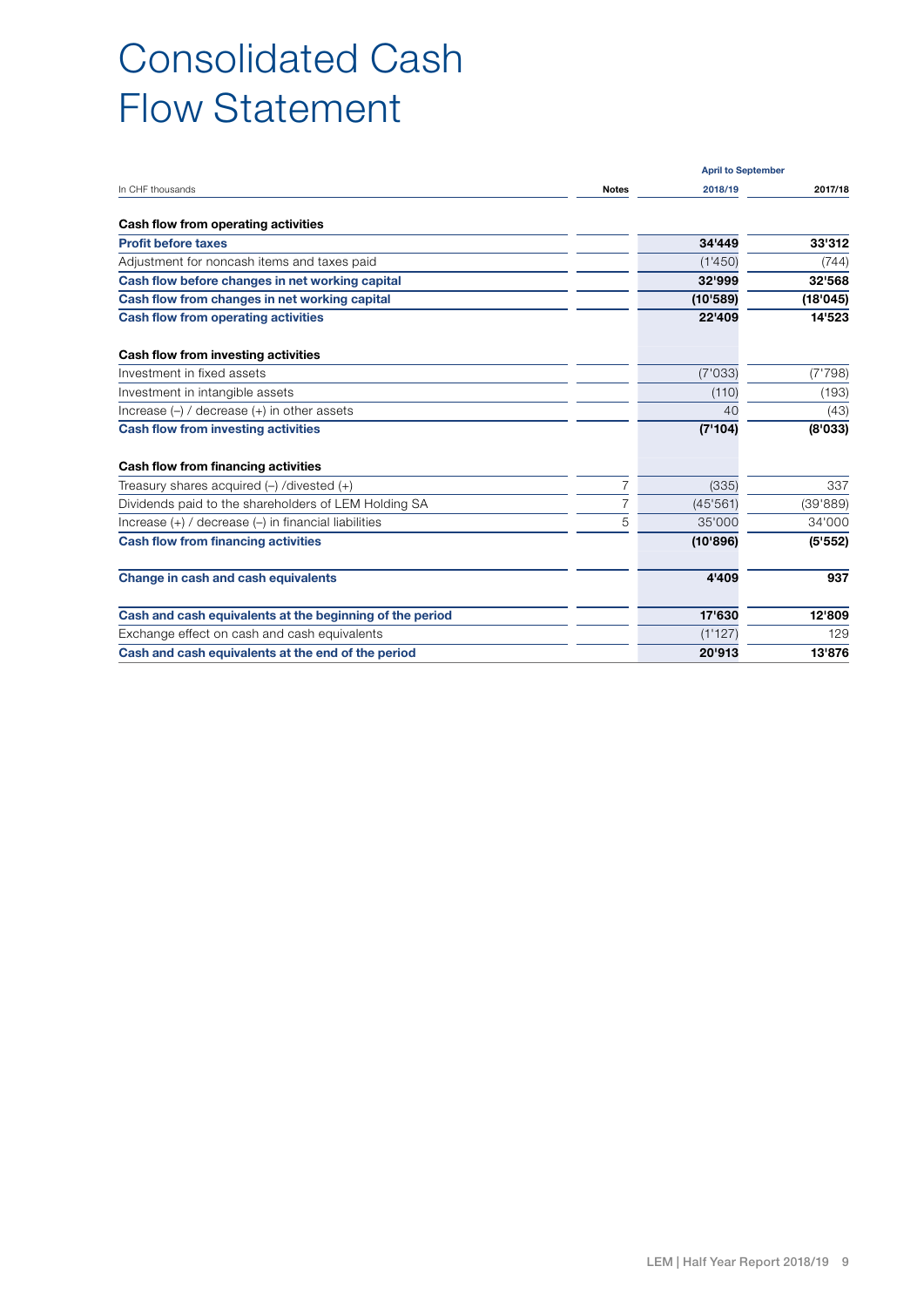### Consolidated Cash Flow Statement

|                                                          |              | <b>April to September</b> |          |
|----------------------------------------------------------|--------------|---------------------------|----------|
| In CHF thousands                                         | <b>Notes</b> | 2018/19                   | 2017/18  |
| Cash flow from operating activities                      |              |                           |          |
| <b>Profit before taxes</b>                               |              | 34'449                    | 33'312   |
| Adjustment for noncash items and taxes paid              |              | (1'450)                   | (744)    |
| Cash flow before changes in net working capital          |              | 32'999                    | 32'568   |
| Cash flow from changes in net working capital            |              | (10'589)                  | (18'045) |
| <b>Cash flow from operating activities</b>               |              | 22'409                    | 14'523   |
| Cash flow from investing activities                      |              |                           |          |
| Investment in fixed assets                               |              | (7'033)                   | (7'798)  |
| Investment in intangible assets                          |              | (110)                     | (193)    |
| Increase $(-)$ / decrease $(+)$ in other assets          |              | 40                        | (43)     |
| <b>Cash flow from investing activities</b>               |              | (7'104)                   | (8'033)  |
| Cash flow from financing activities                      |              |                           |          |
| Treasury shares acquired $(-)$ /divested $(+)$           | 7            | (335)                     | 337      |
| Dividends paid to the shareholders of LEM Holding SA     |              | (45'561)                  | (39'889) |
| Increase $(+)$ / decrease $(-)$ in financial liabilities | 5            | 35'000                    | 34'000   |
| <b>Cash flow from financing activities</b>               |              | (10'896)                  | (5'552)  |
| Change in cash and cash equivalents                      |              | 4'409                     | 937      |
| Cash and cash equivalents at the beginning of the period |              | 17'630                    | 12'809   |
| Exchange effect on cash and cash equivalents             |              | (1'127)                   | 129      |
| Cash and cash equivalents at the end of the period       |              | 20'913                    | 13'876   |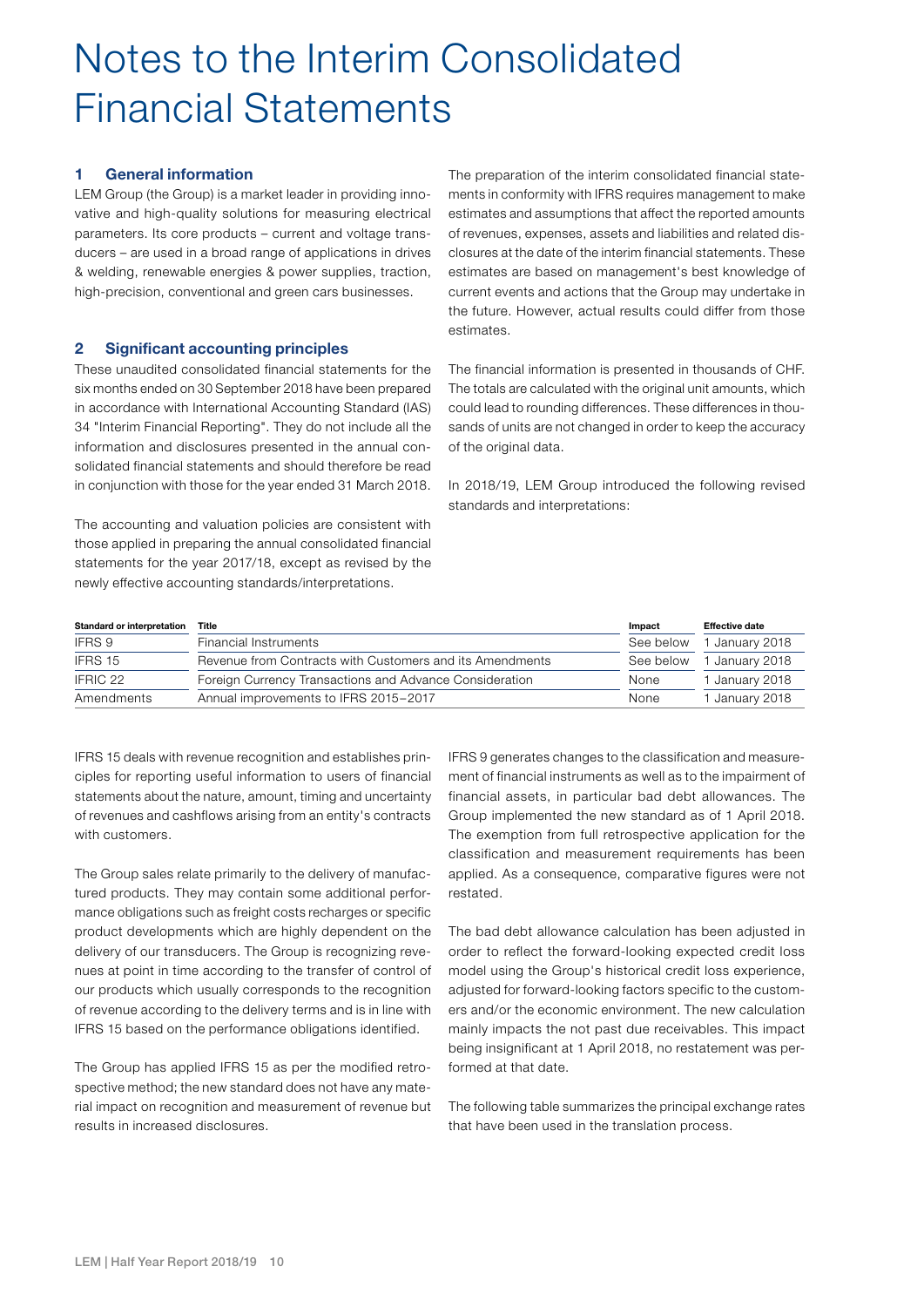### Notes to the Interim Consolidated Financial Statements

#### 1 General information

LEM Group (the Group) is a market leader in providing innovative and high-quality solutions for measuring electrical parameters. Its core products – current and voltage transducers – are used in a broad range of applications in drives & welding, renewable energies & power supplies, traction, high-precision, conventional and green cars businesses.

#### 2 Significant accounting principles

These unaudited consolidated financial statements for the six months ended on 30 September 2018 have been prepared in accordance with International Accounting Standard (IAS) 34 "Interim Financial Reporting". They do not include all the information and disclosures presented in the annual consolidated financial statements and should therefore be read in conjunction with those for the year ended 31 March 2018.

The accounting and valuation policies are consistent with those applied in preparing the annual consolidated financial statements for the year 2017/18, except as revised by the newly effective accounting standards/interpretations.

The preparation of the interim consolidated financial statements in conformity with IFRS requires management to make estimates and assumptions that affect the reported amounts of revenues, expenses, assets and liabilities and related disclosures at the date of the interim financial statements. These estimates are based on management's best knowledge of current events and actions that the Group may undertake in the future. However, actual results could differ from those estimates.

The financial information is presented in thousands of CHF. The totals are calculated with the original unit amounts, which could lead to rounding differences. These differences in thousands of units are not changed in order to keep the accuracy of the original data.

In 2018/19, LEM Group introduced the following revised standards and interpretations:

| Standard or interpretation | Title                                                    | Impact    | <b>Effective date</b> |
|----------------------------|----------------------------------------------------------|-----------|-----------------------|
| IFRS 9                     | Financial Instruments                                    | See below | 1 January 2018        |
| IFRS 15                    | Revenue from Contracts with Customers and its Amendments | See below | 1 January 2018        |
| IFRIC 22                   | Foreign Currency Transactions and Advance Consideration  | None      | 1 January 2018        |
| Amendments                 | Annual improvements to IFRS 2015-2017                    | None      | 1 January 2018        |

IFRS 15 deals with revenue recognition and establishes principles for reporting useful information to users of financial statements about the nature, amount, timing and uncertainty of revenues and cashflows arising from an entity's contracts with customers.

The Group sales relate primarily to the delivery of manufactured products. They may contain some additional performance obligations such as freight costs recharges or specific product developments which are highly dependent on the delivery of our transducers. The Group is recognizing revenues at point in time according to the transfer of control of our products which usually corresponds to the recognition of revenue according to the delivery terms and is in line with IFRS 15 based on the performance obligations identified.

The Group has applied IFRS 15 as per the modified retrospective method; the new standard does not have any material impact on recognition and measurement of revenue but results in increased disclosures.

IFRS 9 generates changes to the classification and measurement of financial instruments as well as to the impairment of financial assets, in particular bad debt allowances. The Group implemented the new standard as of 1 April 2018. The exemption from full retrospective application for the classification and measurement requirements has been applied. As a consequence, comparative figures were not restated.

The bad debt allowance calculation has been adjusted in order to reflect the forward-looking expected credit loss model using the Group's historical credit loss experience, adjusted for forward-looking factors specific to the customers and/or the economic environment. The new calculation mainly impacts the not past due receivables. This impact being insignificant at 1 April 2018, no restatement was performed at that date.

The following table summarizes the principal exchange rates that have been used in the translation process.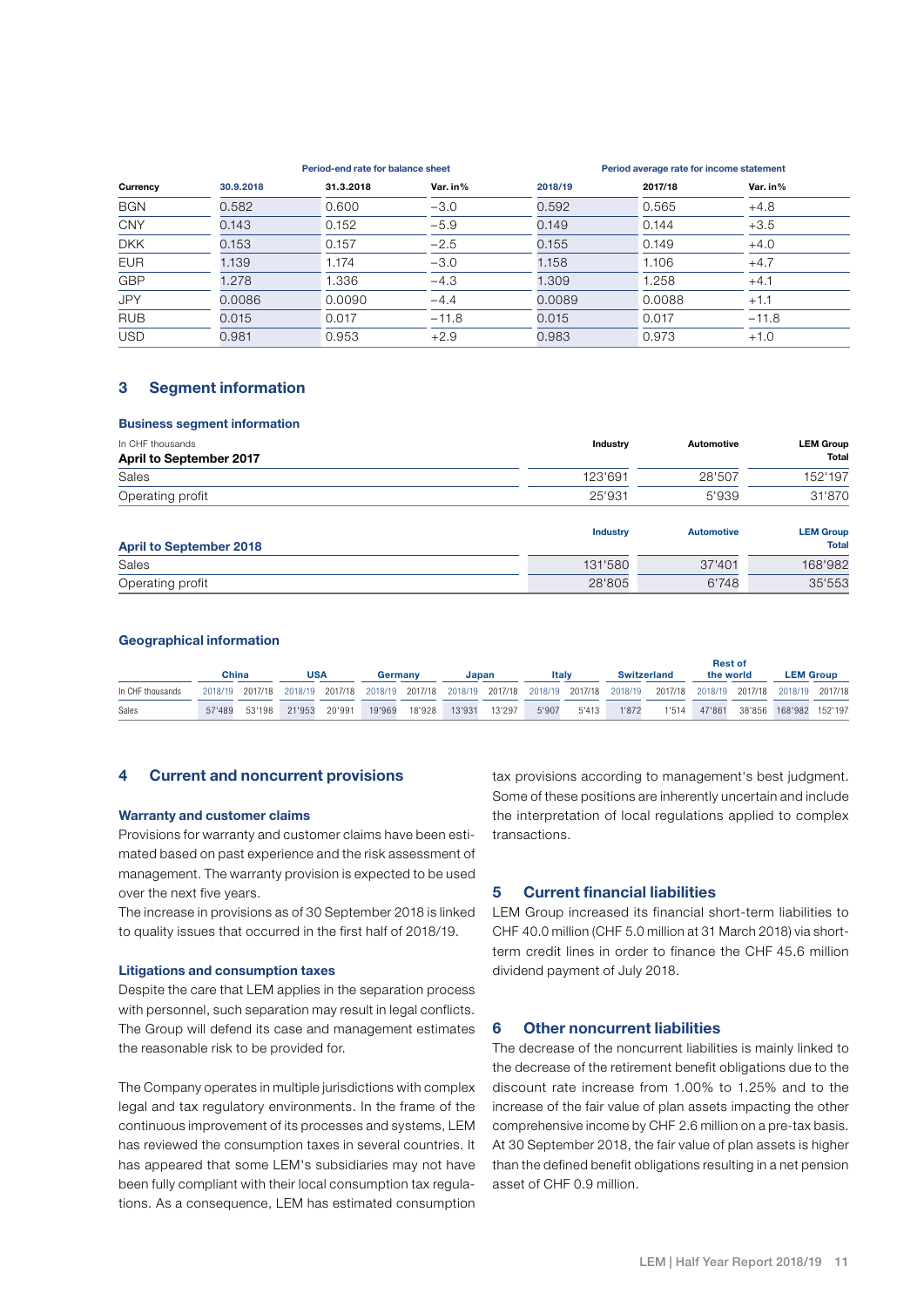|            |           | Period-end rate for balance sheet |          | Period average rate for income statement |         |          |  |  |
|------------|-----------|-----------------------------------|----------|------------------------------------------|---------|----------|--|--|
| Currency   | 30.9.2018 | 31.3.2018                         | Var. in% | 2018/19                                  | 2017/18 | Var. in% |  |  |
| <b>BGN</b> | 0.582     | 0.600                             | $-3.0$   | 0.592                                    | 0.565   | $+4.8$   |  |  |
| <b>CNY</b> | 0.143     | 0.152                             | $-5.9$   | 0.149                                    | 0.144   | $+3.5$   |  |  |
| <b>DKK</b> | 0.153     | 0.157                             | $-2.5$   | 0.155                                    | 0.149   | $+4.0$   |  |  |
| <b>EUR</b> | 1.139     | 1.174                             | $-3.0$   | 1.158                                    | 1.106   | $+4.7$   |  |  |
| <b>GBP</b> | 1.278     | 1.336                             | $-4.3$   | 1.309                                    | 1.258   | $+4.1$   |  |  |
| <b>JPY</b> | 0.0086    | 0.0090                            | $-4.4$   | 0.0089                                   | 0.0088  | $+1.1$   |  |  |
| <b>RUB</b> | 0.015     | 0.017                             | $-11.8$  | 0.015                                    | 0.017   | $-11.8$  |  |  |
| <b>USD</b> | 0.981     | 0.953                             | $+2.9$   | 0.983                                    | 0.973   | $+1.0$   |  |  |

#### 3 Segment information

#### Business segment information

| In CHF thousands               | <b>Industry</b> | Automotive        | <b>LEM Group</b>                 |
|--------------------------------|-----------------|-------------------|----------------------------------|
| April to September 2017        |                 |                   | <b>Total</b>                     |
| Sales                          | 123'691         | 28'507            | 152'197                          |
| Operating profit               | 25'931          | 5'939             | 31'870                           |
| <b>April to September 2018</b> | <b>Industry</b> | <b>Automotive</b> | <b>LEM Group</b><br><b>Total</b> |
| Sales                          | 131'580         | 37'401            | 168'982                          |
| Operating profit               | 28'805          | 6'748             | 35'553                           |

#### Geographical information

|                  | China  | USA                  | Germany |        | Japan  |        | <b>Italy</b> |       |       | <b>Switzerland</b>                                                                                                              | <b>Rest of</b><br>the world | <b>LEM Group</b>       |  |
|------------------|--------|----------------------|---------|--------|--------|--------|--------------|-------|-------|---------------------------------------------------------------------------------------------------------------------------------|-----------------------------|------------------------|--|
| In CHF thousands |        |                      |         |        |        |        |              |       |       | 2018/19 2017/18 2018/19 2017/18 2018/19 2017/18 2018/19 2017/18 2018/19 2017/18 2018/19 2017/18 2018/19 2017/18 2018/19 2017/18 |                             |                        |  |
| Sales            | 57'489 | 53'198 21'953 20'991 | 19'969  | 18'928 | 13'931 | 13'297 | 5'907        | 5'413 | 1'872 | 1'514                                                                                                                           | 47'861                      | 38'856 168'982 152'197 |  |

#### 4 Current and noncurrent provisions

#### Warranty and customer claims

Provisions for warranty and customer claims have been estimated based on past experience and the risk assessment of management. The warranty provision is expected to be used over the next five years.

The increase in provisions as of 30 September 2018 is linked to quality issues that occurred in the first half of 2018/19.

#### Litigations and consumption taxes

Despite the care that LEM applies in the separation process with personnel, such separation may result in legal conflicts. The Group will defend its case and management estimates the reasonable risk to be provided for.

The Company operates in multiple jurisdictions with complex legal and tax regulatory environments. In the frame of the continuous improvement of its processes and systems, LEM has reviewed the consumption taxes in several countries. It has appeared that some LEM's subsidiaries may not have been fully compliant with their local consumption tax regulations. As a consequence, LEM has estimated consumption

tax provisions according to management's best judgment. Some of these positions are inherently uncertain and include the interpretation of local regulations applied to complex transactions.

#### 5 Current financial liabilities

LEM Group increased its financial short-term liabilities to CHF 40.0 million (CHF 5.0 million at 31 March 2018) via shortterm credit lines in order to finance the CHF 45.6 million dividend payment of July 2018.

#### 6 Other noncurrent liabilities

The decrease of the noncurrent liabilities is mainly linked to the decrease of the retirement benefit obligations due to the discount rate increase from 1.00% to 1.25% and to the increase of the fair value of plan assets impacting the other comprehensive income by CHF 2.6 million on a pre-tax basis. At 30 September 2018, the fair value of plan assets is higher than the defined benefit obligations resulting in a net pension asset of CHF 0.9 million.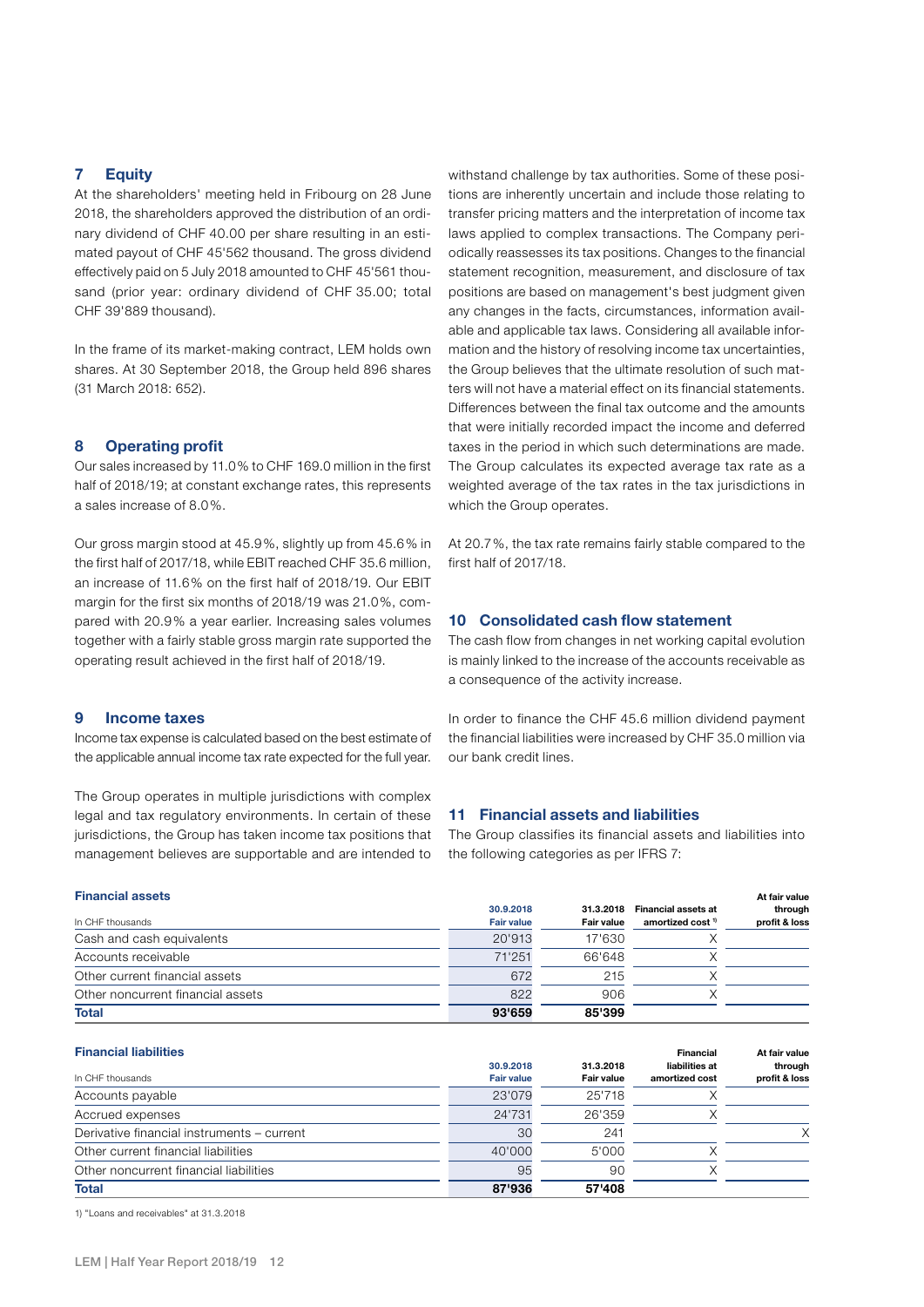#### 7 Equity

At the shareholders' meeting held in Fribourg on 28 June 2018, the shareholders approved the distribution of an ordinary dividend of CHF 40.00 per share resulting in an estimated payout of CHF 45'562 thousand. The gross dividend effectively paid on 5 July 2018 amounted to CHF 45'561 thousand (prior year: ordinary dividend of CHF 35.00; total CHF 39'889 thousand).

In the frame of its market-making contract, LEM holds own shares. At 30 September 2018, the Group held 896 shares (31 March 2018: 652).

#### 8 Operating profit

Our sales increased by 11.0% to CHF 169.0 million in the first half of 2018/19; at constant exchange rates, this represents a sales increase of 8.0%.

Our gross margin stood at 45.9%, slightly up from 45.6% in the first half of 2017/18, while EBIT reached CHF 35.6 million, an increase of 11.6% on the first half of 2018/19. Our EBIT margin for the first six months of 2018/19 was 21.0%, compared with 20.9% a year earlier. Increasing sales volumes together with a fairly stable gross margin rate supported the operating result achieved in the first half of 2018/19.

#### 9 Income taxes

Income tax expense is calculated based on the best estimate of the applicable annual income tax rate expected for the full year.

The Group operates in multiple jurisdictions with complex legal and tax regulatory environments. In certain of these jurisdictions, the Group has taken income tax positions that management believes are supportable and are intended to

withstand challenge by tax authorities. Some of these positions are inherently uncertain and include those relating to transfer pricing matters and the interpretation of income tax laws applied to complex transactions. The Company periodically reassesses its tax positions. Changes to the financial statement recognition, measurement, and disclosure of tax positions are based on management's best judgment given any changes in the facts, circumstances, information available and applicable tax laws. Considering all available information and the history of resolving income tax uncertainties, the Group believes that the ultimate resolution of such matters will not have a material effect on its financial statements. Differences between the final tax outcome and the amounts that were initially recorded impact the income and deferred taxes in the period in which such determinations are made. The Group calculates its expected average tax rate as a weighted average of the tax rates in the tax jurisdictions in which the Group operates.

At 20.7%, the tax rate remains fairly stable compared to the first half of 2017/18.

#### 10 Consolidated cash flow statement

The cash flow from changes in net working capital evolution is mainly linked to the increase of the accounts receivable as a consequence of the activity increase.

In order to finance the CHF 45.6 million dividend payment the financial liabilities were increased by CHF 35.0 million via our bank credit lines.

#### 11 Financial assets and liabilities

The Group classifies its financial assets and liabilities into the following categories as per IFRS 7:

31.3.2018

Financial

At fair value

| <b>Financial assets</b>           |                   |            |                              | At fair value |
|-----------------------------------|-------------------|------------|------------------------------|---------------|
|                                   | 30.9.2018         | 31.3.2018  | <b>Financial assets at</b>   | through       |
| In CHF thousands                  | <b>Fair value</b> | Fair value | amortized cost <sup>1)</sup> | profit & loss |
| Cash and cash equivalents         | 20'913            | 17'630     |                              |               |
| Accounts receivable               | 71'251            | 66'648     |                              |               |
| Other current financial assets    | 672               | 215        |                              |               |
| Other noncurrent financial assets | 822               | 906        |                              |               |
| <b>Total</b>                      | 93'659            | 85'399     |                              |               |

| <b>Financial liabilities</b> |  |
|------------------------------|--|
|                              |  |

| In CHE thousands                           | 30.9.2018<br><b>Fair value</b> | 31.3.2018<br>Fair value | liabilities at<br>amortized cost | through<br>profit & loss |
|--------------------------------------------|--------------------------------|-------------------------|----------------------------------|--------------------------|
| Accounts payable                           | 23'079                         | 25'718                  |                                  |                          |
| Accrued expenses                           | 24'731                         | 26'359                  |                                  |                          |
| Derivative financial instruments - current | 30                             | 241                     |                                  |                          |
| Other current financial liabilities        | 40'000                         | 5'000                   |                                  |                          |
| Other noncurrent financial liabilities     | 95                             | 90                      |                                  |                          |
| <b>Total</b>                               | 87'936                         | 57'408                  |                                  |                          |

30.9.2018

1) "Loans and receivables" at 31.3.2018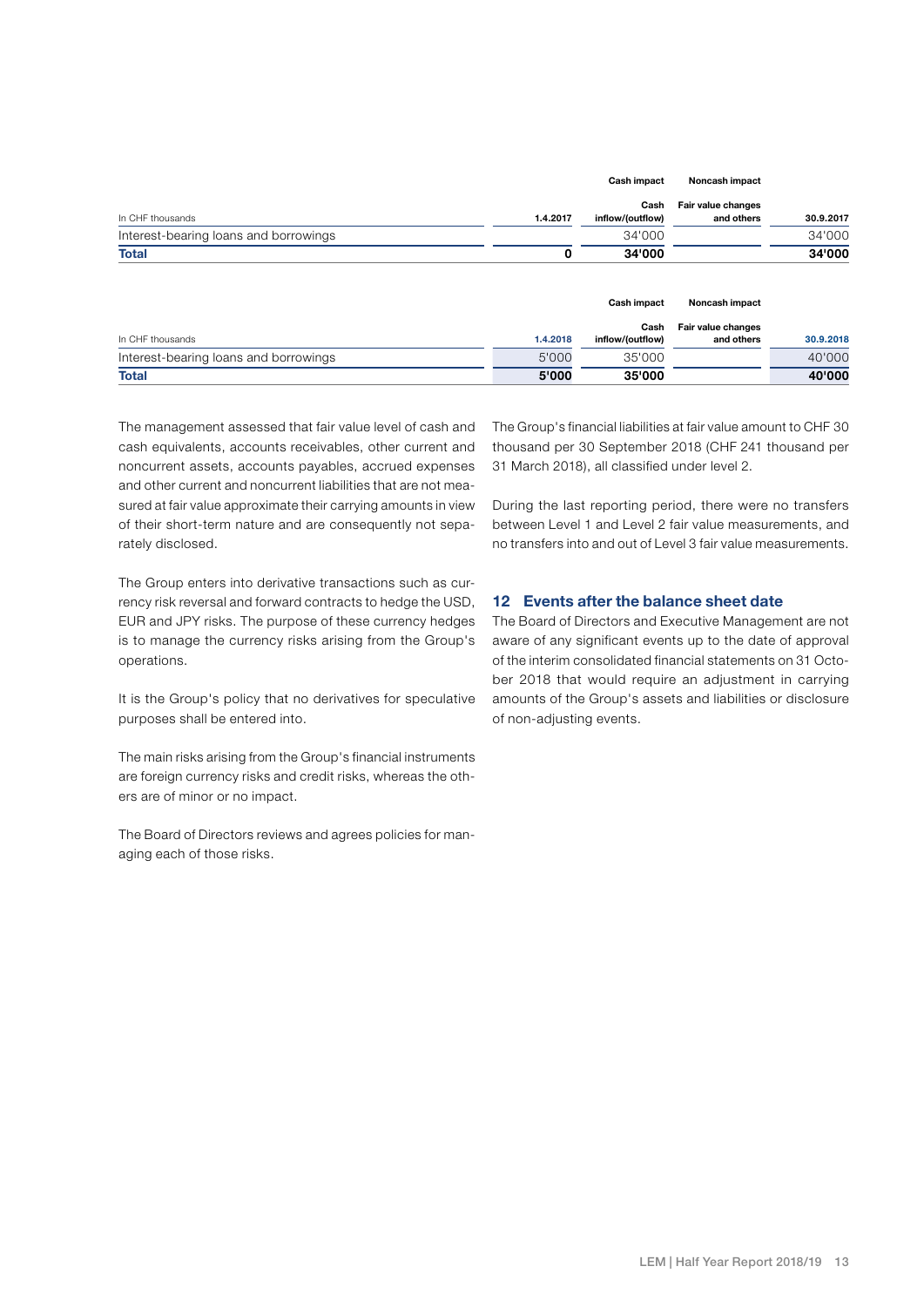|                                       |          | Cash impact              | Noncash impact                   |           |
|---------------------------------------|----------|--------------------------|----------------------------------|-----------|
| In CHF thousands                      | 1.4.2017 | Cash<br>inflow/(outflow) | Fair value changes<br>and others | 30.9.2017 |
| Interest-bearing loans and borrowings |          | 34'000                   |                                  | 34'000    |
| <b>Total</b>                          |          | 34'000                   |                                  | 34'000    |

|                                       |          | Cash impact              | Noncash impact                   |           |
|---------------------------------------|----------|--------------------------|----------------------------------|-----------|
| In CHF thousands                      | 1.4.2018 | Cash<br>inflow/(outflow) | Fair value changes<br>and others | 30.9.2018 |
| Interest-bearing loans and borrowings | 5'000    | 35'000                   |                                  | 40'000    |
| <b>Total</b>                          | 5'000    | 35'000                   |                                  | 40'000    |

The management assessed that fair value level of cash and cash equivalents, accounts receivables, other current and noncurrent assets, accounts payables, accrued expenses and other current and noncurrent liabilities that are not measured at fair value approximate their carrying amounts in view of their short-term nature and are consequently not separately disclosed.

The Group enters into derivative transactions such as currency risk reversal and forward contracts to hedge the USD, EUR and JPY risks. The purpose of these currency hedges is to manage the currency risks arising from the Group's operations.

It is the Group's policy that no derivatives for speculative purposes shall be entered into.

The main risks arising from the Group's financial instruments are foreign currency risks and credit risks, whereas the others are of minor or no impact.

The Board of Directors reviews and agrees policies for managing each of those risks.

The Group's financial liabilities at fair value amount to CHF 30 thousand per 30 September 2018 (CHF 241 thousand per 31 March 2018), all classified under level 2.

During the last reporting period, there were no transfers between Level 1 and Level 2 fair value measurements, and no transfers into and out of Level 3 fair value measurements.

#### 12 Events after the balance sheet date

The Board of Directors and Executive Management are not aware of any significant events up to the date of approval of the interim consolidated financial statements on 31 October 2018 that would require an adjustment in carrying amounts of the Group's assets and liabilities or disclosure of non-adjusting events.